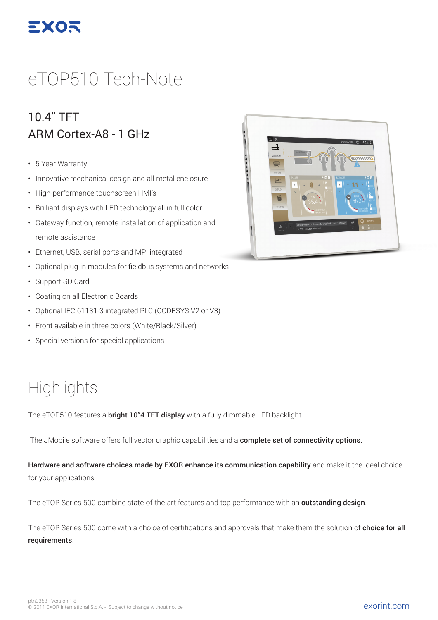

# eTOP510 Tech-Note

#### 10.4" TFT ARM Cortex-A8 - 1 GHz

- 5 Year Warranty
- Innovative mechanical design and all-metal enclosure
- High-performance touchscreen HMI's
- Brilliant displays with LED technology all in full color
- Gateway function, remote installation of application and remote assistance
- Ethernet, USB, serial ports and MPI integrated
- Optional plug-in modules for fieldbus systems and networks
- Support SD Card
- Coating on all Electronic Boards
- Optional IEC 61131-3 integrated PLC (CODESYS V2 or V3)
- Front available in three colors (White/Black/Silver)
- Special versions for special applications

### **Highlights**

The eTOP510 features a **bright 10"4 TFT display** with a fully dimmable LED backlight.

The JMobile software offers full vector graphic capabilities and a complete set of connectivity options.

Hardware and software choices made by EXOR enhance its communication capability and make it the ideal choice for your applications.

The eTOP Series 500 combine state-of-the-art features and top performance with an **outstanding design**.

The eTOP Series 500 come with a choice of certifications and approvals that make them the solution of **choice for all** requirements.